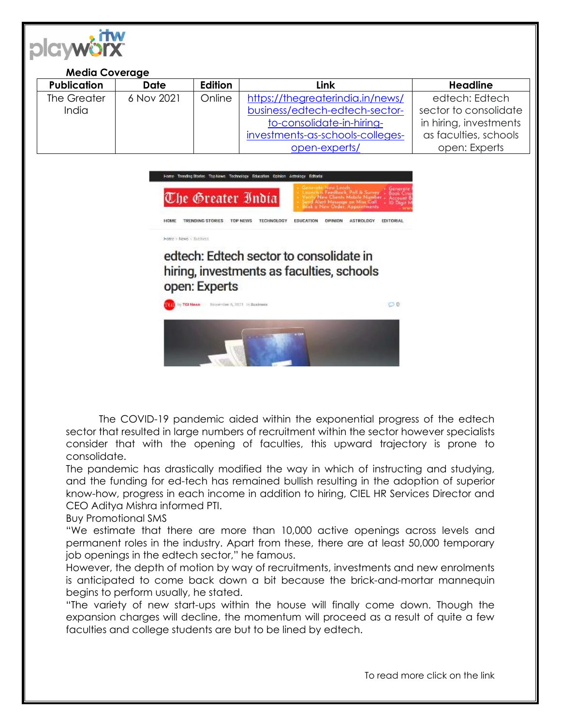

| <b>Media Coverage</b> |            |         |                                  |                        |
|-----------------------|------------|---------|----------------------------------|------------------------|
| <b>Publication</b>    | Date       | Edition | Link                             | <b>Headline</b>        |
| The Greater           | 6 Nov 2021 | Online  | https://thegreaterindia.in/news/ | edtech: Edtech         |
| <b>India</b>          |            |         | business/edtech-edtech-sector-   | sector to consolidate  |
|                       |            |         | to-consolidate-in-hiring-        | in hiring, investments |
|                       |            |         | investments-as-schools-colleges- | as faculties, schools  |
|                       |            |         | open-experts/                    | open: Experts          |



hiring, investments as faculties, schools open: Experts



The COVID-19 pandemic aided within the exponential progress of the edtech sector that resulted in large numbers of recruitment within the sector however specialists consider that with the opening of faculties, this upward trajectory is prone to consolidate.

The pandemic has drastically modified the way in which of instructing and studying, and the funding for ed-tech has remained bullish resulting in the adoption of superior know-how, progress in each income in addition to hiring, CIEL HR Services Director and CEO Aditya Mishra informed PTI.

Buy Promotional SMS

"We estimate that there are more than 10,000 active openings across levels and permanent roles in the industry. Apart from these, there are at least 50,000 temporary job openings in the edtech sector," he famous.

However, the depth of motion by way of recruitments, investments and new enrolments is anticipated to come back down a bit because the brick-and-mortar mannequin begins to perform usually, he stated.

"The variety of new start-ups within the house will finally come down. Though the expansion charges will decline, the momentum will proceed as a result of quite a few faculties and college students are but to be lined by edtech.